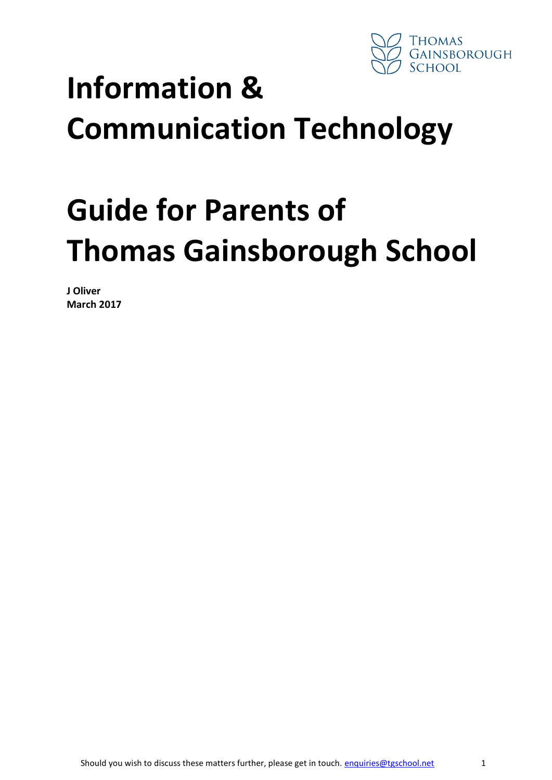

# **Information & Communication Technology**

# **Guide for Parents of Thomas Gainsborough School**

**J Oliver March 2017**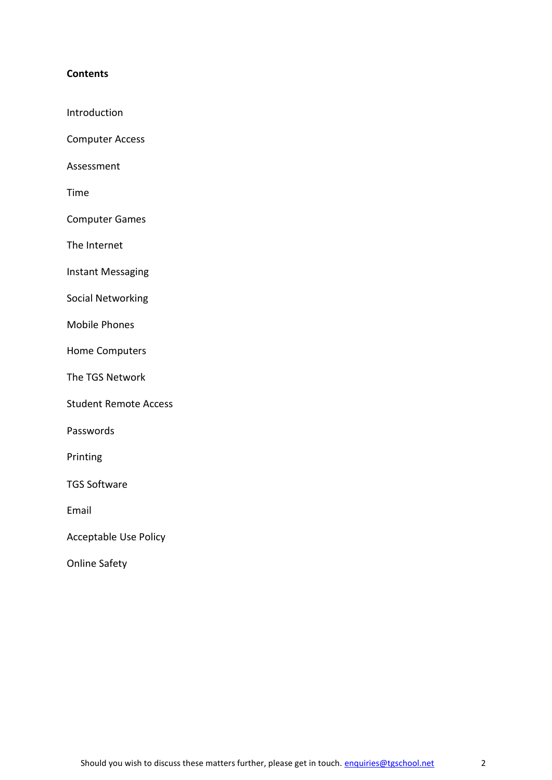# **Contents**

- Introduction
- Computer Access
- Assessment
- Time
- Computer Games
- The Internet
- Instant Messaging
- Social Networking
- Mobile Phones
- Home Computers
- The TGS Network
- Student Remote Access
- Passwords
- Printing
- TGS Software
- Email
- Acceptable Use Policy
- Online Safety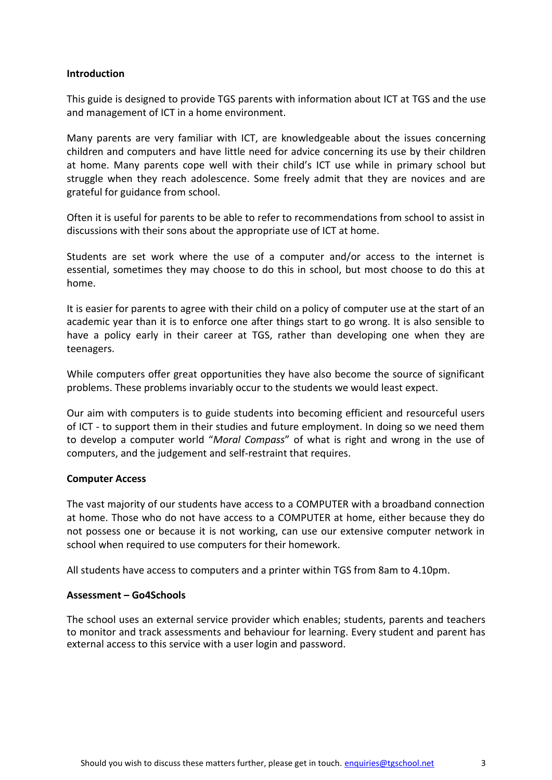#### **Introduction**

This guide is designed to provide TGS parents with information about ICT at TGS and the use and management of ICT in a home environment.

Many parents are very familiar with ICT, are knowledgeable about the issues concerning children and computers and have little need for advice concerning its use by their children at home. Many parents cope well with their child's ICT use while in primary school but struggle when they reach adolescence. Some freely admit that they are novices and are grateful for guidance from school.

Often it is useful for parents to be able to refer to recommendations from school to assist in discussions with their sons about the appropriate use of ICT at home.

Students are set work where the use of a computer and/or access to the internet is essential, sometimes they may choose to do this in school, but most choose to do this at home.

It is easier for parents to agree with their child on a policy of computer use at the start of an academic year than it is to enforce one after things start to go wrong. It is also sensible to have a policy early in their career at TGS, rather than developing one when they are teenagers.

While computers offer great opportunities they have also become the source of significant problems. These problems invariably occur to the students we would least expect.

Our aim with computers is to guide students into becoming efficient and resourceful users of ICT - to support them in their studies and future employment. In doing so we need them to develop a computer world "*Moral Compass*" of what is right and wrong in the use of computers, and the judgement and self-restraint that requires.

#### **Computer Access**

The vast majority of our students have access to a COMPUTER with a broadband connection at home. Those who do not have access to a COMPUTER at home, either because they do not possess one or because it is not working, can use our extensive computer network in school when required to use computers for their homework.

All students have access to computers and a printer within TGS from 8am to 4.10pm.

#### **Assessment – Go4Schools**

The school uses an external service provider which enables; students, parents and teachers to monitor and track assessments and behaviour for learning. Every student and parent has external access to this service with a user login and password.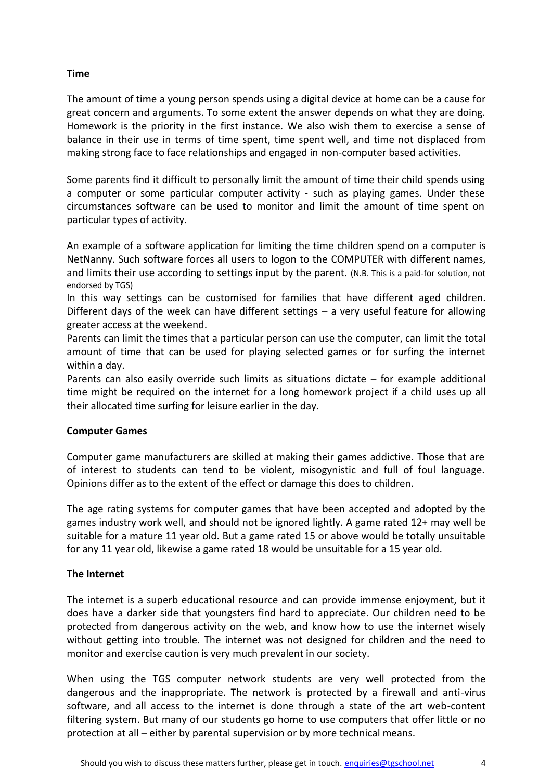# **Time**

The amount of time a young person spends using a digital device at home can be a cause for great concern and arguments. To some extent the answer depends on what they are doing. Homework is the priority in the first instance. We also wish them to exercise a sense of balance in their use in terms of time spent, time spent well, and time not displaced from making strong face to face relationships and engaged in non-computer based activities.

Some parents find it difficult to personally limit the amount of time their child spends using a computer or some particular computer activity - such as playing games. Under these circumstances software can be used to monitor and limit the amount of time spent on particular types of activity.

An example of a software application for limiting the time children spend on a computer is NetNanny. Such software forces all users to logon to the COMPUTER with different names, and limits their use according to settings input by the parent. (N.B. This is a paid-for solution, not endorsed by TGS)

In this way settings can be customised for families that have different aged children. Different days of the week can have different settings – a very useful feature for allowing greater access at the weekend.

Parents can limit the times that a particular person can use the computer, can limit the total amount of time that can be used for playing selected games or for surfing the internet within a day.

Parents can also easily override such limits as situations dictate – for example additional time might be required on the internet for a long homework project if a child uses up all their allocated time surfing for leisure earlier in the day.

# **Computer Games**

Computer game manufacturers are skilled at making their games addictive. Those that are of interest to students can tend to be violent, misogynistic and full of foul language. Opinions differ as to the extent of the effect or damage this does to children.

The age rating systems for computer games that have been accepted and adopted by the games industry work well, and should not be ignored lightly. A game rated 12+ may well be suitable for a mature 11 year old. But a game rated 15 or above would be totally unsuitable for any 11 year old, likewise a game rated 18 would be unsuitable for a 15 year old.

# **The Internet**

The internet is a superb educational resource and can provide immense enjoyment, but it does have a darker side that youngsters find hard to appreciate. Our children need to be protected from dangerous activity on the web, and know how to use the internet wisely without getting into trouble. The internet was not designed for children and the need to monitor and exercise caution is very much prevalent in our society.

When using the TGS computer network students are very well protected from the dangerous and the inappropriate. The network is protected by a firewall and anti-virus software, and all access to the internet is done through a state of the art web-content filtering system. But many of our students go home to use computers that offer little or no protection at all – either by parental supervision or by more technical means.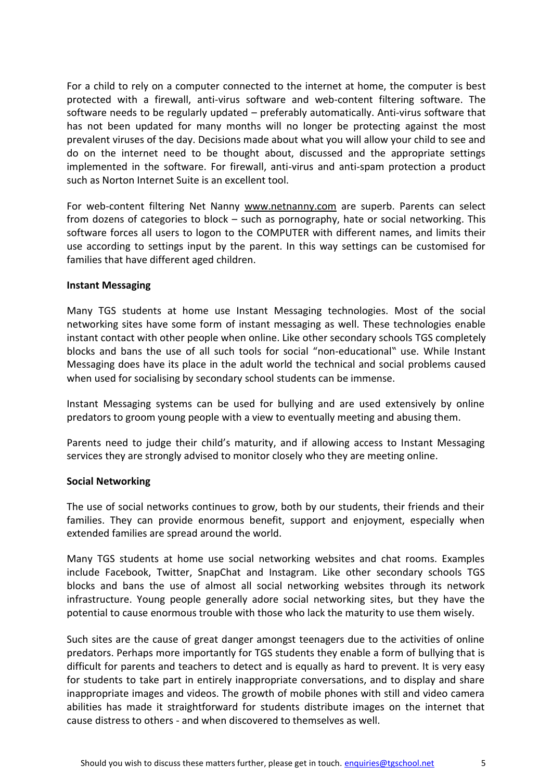For a child to rely on a computer connected to the internet at home, the computer is best protected with a firewall, anti-virus software and web-content filtering software. The software needs to be regularly updated – preferably automatically. Anti-virus software that has not been updated for many months will no longer be protecting against the most prevalent viruses of the day. Decisions made about what you will allow your child to see and do on the internet need to be thought about, discussed and the appropriate settings implemented in the software. For firewall, anti-virus and anti-spam protection a product such as Norton Internet Suite is an excellent tool.

For web-content filtering Net Nanny [www.netnanny.com](http://www.netnanny.com/) are superb. Parents can select from dozens of categories to block – such as pornography, hate or social networking. This software forces all users to logon to the COMPUTER with different names, and limits their use according to settings input by the parent. In this way settings can be customised for families that have different aged children.

#### **Instant Messaging**

Many TGS students at home use Instant Messaging technologies. Most of the social networking sites have some form of instant messaging as well. These technologies enable instant contact with other people when online. Like other secondary schools TGS completely blocks and bans the use of all such tools for social "non-educational" use. While Instant Messaging does have its place in the adult world the technical and social problems caused when used for socialising by secondary school students can be immense.

Instant Messaging systems can be used for bullying and are used extensively by online predators to groom young people with a view to eventually meeting and abusing them.

Parents need to judge their child's maturity, and if allowing access to Instant Messaging services they are strongly advised to monitor closely who they are meeting online.

# **Social Networking**

The use of social networks continues to grow, both by our students, their friends and their families. They can provide enormous benefit, support and enjoyment, especially when extended families are spread around the world.

Many TGS students at home use social networking websites and chat rooms. Examples include Facebook, Twitter, SnapChat and Instagram. Like other secondary schools TGS blocks and bans the use of almost all social networking websites through its network infrastructure. Young people generally adore social networking sites, but they have the potential to cause enormous trouble with those who lack the maturity to use them wisely.

Such sites are the cause of great danger amongst teenagers due to the activities of online predators. Perhaps more importantly for TGS students they enable a form of bullying that is difficult for parents and teachers to detect and is equally as hard to prevent. It is very easy for students to take part in entirely inappropriate conversations, and to display and share inappropriate images and videos. The growth of mobile phones with still and video camera abilities has made it straightforward for students distribute images on the internet that cause distress to others - and when discovered to themselves as well.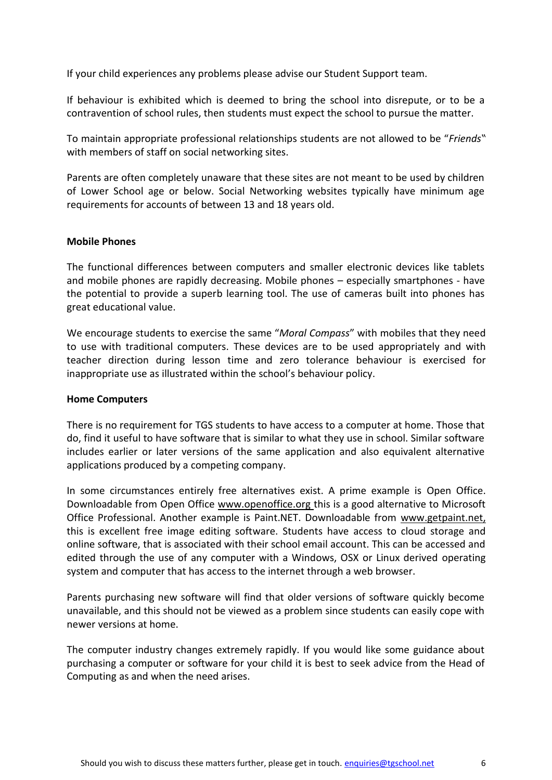If your child experiences any problems please advise our Student Support team.

If behaviour is exhibited which is deemed to bring the school into disrepute, or to be a contravention of school rules, then students must expect the school to pursue the matter.

To maintain appropriate professional relationships students are not allowed to be "*Friends*" with members of staff on social networking sites.

Parents are often completely unaware that these sites are not meant to be used by children of Lower School age or below. Social Networking websites typically have minimum age requirements for accounts of between 13 and 18 years old.

# **Mobile Phones**

The functional differences between computers and smaller electronic devices like tablets and mobile phones are rapidly decreasing. Mobile phones – especially smartphones - have the potential to provide a superb learning tool. The use of cameras built into phones has great educational value.

We encourage students to exercise the same "*Moral Compass*" with mobiles that they need to use with traditional computers. These devices are to be used appropriately and with teacher direction during lesson time and zero tolerance behaviour is exercised for inappropriate use as illustrated within the school's behaviour policy.

#### **Home Computers**

There is no requirement for TGS students to have access to a computer at home. Those that do, find it useful to have software that is similar to what they use in school. Similar software includes earlier or later versions of the same application and also equivalent alternative applications produced by a competing company.

In some circumstances entirely free alternatives exist. A prime example is Open Office. Downloadable from Open Office [www.openoffice.org t](http://www.openoffice.org/)his is a good alternative to Microsoft Office Professional. Another example is Paint.NET. Downloadable from [www.getpaint.net,](http://www.getpaint.net/)  this is excellent free image editing software. Students have access to cloud storage and online software, that is associated with their school email account. This can be accessed and edited through the use of any computer with a Windows, OSX or Linux derived operating system and computer that has access to the internet through a web browser.

Parents purchasing new software will find that older versions of software quickly become unavailable, and this should not be viewed as a problem since students can easily cope with newer versions at home.

The computer industry changes extremely rapidly. If you would like some guidance about purchasing a computer or software for your child it is best to seek advice from the Head of Computing as and when the need arises.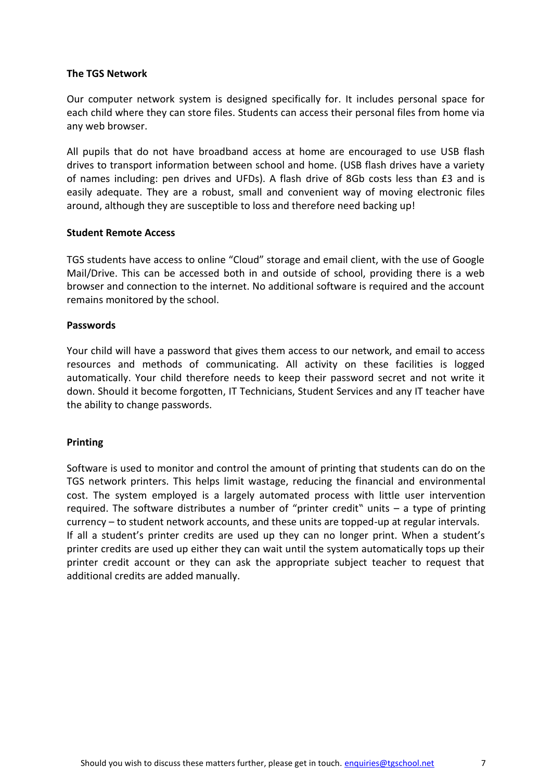#### **The TGS Network**

Our computer network system is designed specifically for. It includes personal space for each child where they can store files. Students can access their personal files from home via any web browser.

All pupils that do not have broadband access at home are encouraged to use USB flash drives to transport information between school and home. (USB flash drives have a variety of names including: pen drives and UFDs). A flash drive of 8Gb costs less than £3 and is easily adequate. They are a robust, small and convenient way of moving electronic files around, although they are susceptible to loss and therefore need backing up!

#### **Student Remote Access**

TGS students have access to online "Cloud" storage and email client, with the use of Google Mail/Drive. This can be accessed both in and outside of school, providing there is a web browser and connection to the internet. No additional software is required and the account remains monitored by the school.

#### **Passwords**

Your child will have a password that gives them access to our network, and email to access resources and methods of communicating. All activity on these facilities is logged automatically. Your child therefore needs to keep their password secret and not write it down. Should it become forgotten, IT Technicians, Student Services and any IT teacher have the ability to change passwords.

# **Printing**

Software is used to monitor and control the amount of printing that students can do on the TGS network printers. This helps limit wastage, reducing the financial and environmental cost. The system employed is a largely automated process with little user intervention required. The software distributes a number of "printer credit" units – a type of printing currency – to student network accounts, and these units are topped-up at regular intervals. If all a student's printer credits are used up they can no longer print. When a student's printer credits are used up either they can wait until the system automatically tops up their printer credit account or they can ask the appropriate subject teacher to request that additional credits are added manually.